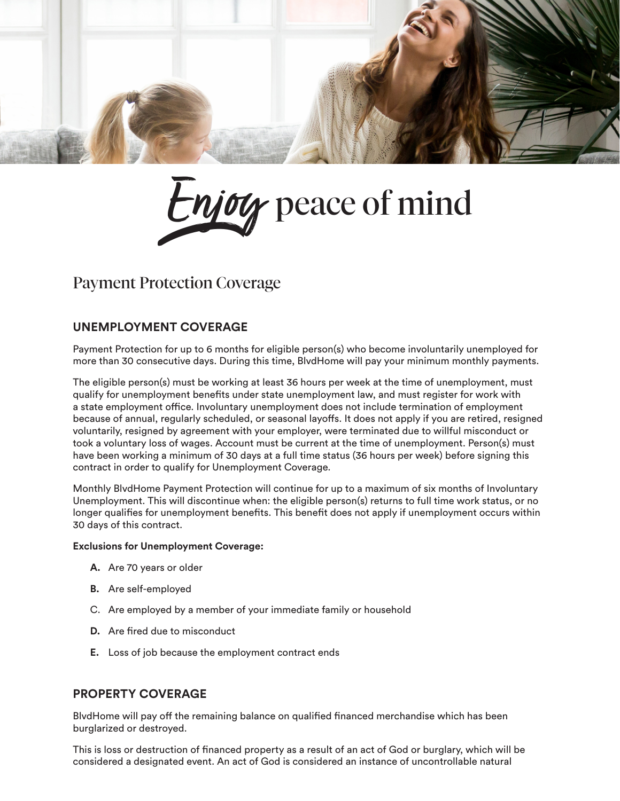



# Payment Protection Coverage

### **UNEMPLOYMENT COVERAGE**

Payment Protection for up to 6 months for eligible person(s) who become involuntarily unemployed for more than 30 consecutive days. During this time, BlvdHome will pay your minimum monthly payments.

The eligible person(s) must be working at least 36 hours per week at the time of unemployment, must qualify for unemployment benefits under state unemployment law, and must register for work with a state employment office. Involuntary unemployment does not include termination of employment because of annual, regularly scheduled, or seasonal layoffs. It does not apply if you are retired, resigned voluntarily, resigned by agreement with your employer, were terminated due to willful misconduct or took a voluntary loss of wages. Account must be current at the time of unemployment. Person(s) must have been working a minimum of 30 days at a full time status (36 hours per week) before signing this contract in order to qualify for Unemployment Coverage.

Monthly BlvdHome Payment Protection will continue for up to a maximum of six months of Involuntary Unemployment. This will discontinue when: the eligible person(s) returns to full time work status, or no longer qualifies for unemployment benefits. This benefit does not apply if unemployment occurs within 30 days of this contract.

#### **Exclusions for Unemployment Coverage:**

- **A.** Are 70 years or older
- **B.** Are self-employed
- C. Are employed by a member of your immediate family or household
- **D.** Are fired due to misconduct
- **E.** Loss of job because the employment contract ends

#### **PROPERTY COVERAGE**

BlvdHome will pay off the remaining balance on qualified financed merchandise which has been burglarized or destroyed.

This is loss or destruction of financed property as a result of an act of God or burglary, which will be considered a designated event. An act of God is considered an instance of uncontrollable natural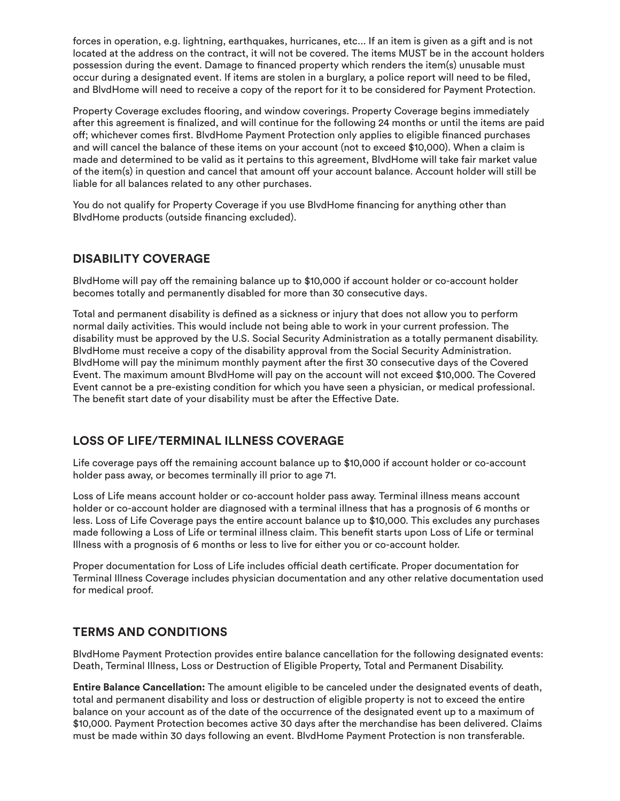forces in operation, e.g. lightning, earthquakes, hurricanes, etc... If an item is given as a gift and is not located at the address on the contract, it will not be covered. The items MUST be in the account holders possession during the event. Damage to financed property which renders the item(s) unusable must occur during a designated event. If items are stolen in a burglary, a police report will need to be filed, and BlvdHome will need to receive a copy of the report for it to be considered for Payment Protection.

Property Coverage excludes flooring, and window coverings. Property Coverage begins immediately after this agreement is finalized, and will continue for the following 24 months or until the items are paid off; whichever comes first. BlvdHome Payment Protection only applies to eligible financed purchases and will cancel the balance of these items on your account (not to exceed \$10,000). When a claim is made and determined to be valid as it pertains to this agreement, BlvdHome will take fair market value of the item(s) in question and cancel that amount off your account balance. Account holder will still be liable for all balances related to any other purchases.

You do not qualify for Property Coverage if you use BlvdHome financing for anything other than BlvdHome products (outside financing excluded).

## **DISABILITY COVERAGE**

BlvdHome will pay off the remaining balance up to \$10,000 if account holder or co-account holder becomes totally and permanently disabled for more than 30 consecutive days.

Total and permanent disability is defined as a sickness or injury that does not allow you to perform normal daily activities. This would include not being able to work in your current profession. The disability must be approved by the U.S. Social Security Administration as a totally permanent disability. BlvdHome must receive a copy of the disability approval from the Social Security Administration. BlvdHome will pay the minimum monthly payment after the first 30 consecutive days of the Covered Event. The maximum amount BlvdHome will pay on the account will not exceed \$10,000. The Covered Event cannot be a pre-existing condition for which you have seen a physician, or medical professional. The benefit start date of your disability must be after the Effective Date.

## **LOSS OF LIFE/TERMINAL ILLNESS COVERAGE**

Life coverage pays off the remaining account balance up to \$10,000 if account holder or co-account holder pass away, or becomes terminally ill prior to age 71.

Loss of Life means account holder or co-account holder pass away. Terminal illness means account holder or co-account holder are diagnosed with a terminal illness that has a prognosis of 6 months or less. Loss of Life Coverage pays the entire account balance up to \$10,000. This excludes any purchases made following a Loss of Life or terminal illness claim. This benefit starts upon Loss of Life or terminal Illness with a prognosis of 6 months or less to live for either you or co-account holder.

Proper documentation for Loss of Life includes official death certificate. Proper documentation for Terminal Illness Coverage includes physician documentation and any other relative documentation used for medical proof.

### **TERMS AND CONDITIONS**

BlvdHome Payment Protection provides entire balance cancellation for the following designated events: Death, Terminal Illness, Loss or Destruction of Eligible Property, Total and Permanent Disability.

**Entire Balance Cancellation:** The amount eligible to be canceled under the designated events of death, total and permanent disability and loss or destruction of eligible property is not to exceed the entire balance on your account as of the date of the occurrence of the designated event up to a maximum of \$10,000. Payment Protection becomes active 30 days after the merchandise has been delivered. Claims must be made within 30 days following an event. BlvdHome Payment Protection is non transferable.